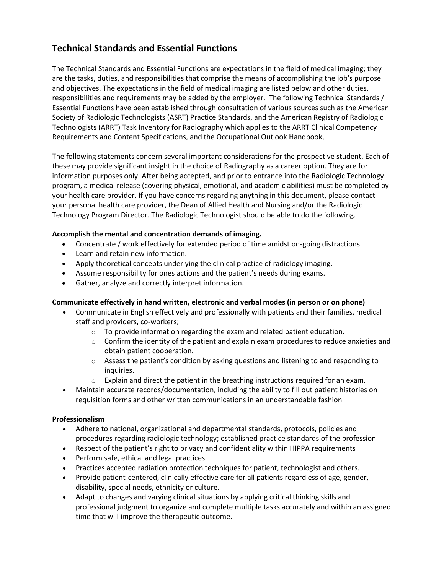# **Technical Standards and Essential Functions**

The Technical Standards and Essential Functions are expectations in the field of medical imaging; they are the tasks, duties, and responsibilities that comprise the means of accomplishing the job's purpose and objectives. The expectations in the field of medical imaging are listed below and other duties, responsibilities and requirements may be added by the employer. The following Technical Standards / Essential Functions have been established through consultation of various sources such as the American Society of Radiologic Technologists (ASRT) Practice Standards, and the American Registry of Radiologic Technologists (ARRT) Task Inventory for Radiography which applies to the ARRT Clinical Competency Requirements and Content Specifications, and the Occupational Outlook Handbook,

The following statements concern several important considerations for the prospective student. Each of these may provide significant insight in the choice of Radiography as a career option. They are for information purposes only. After being accepted, and prior to entrance into the Radiologic Technology program, a medical release (covering physical, emotional, and academic abilities) must be completed by your health care provider. If you have concerns regarding anything in this document, please contact your personal health care provider, the Dean of Allied Health and Nursing and/or the Radiologic Technology Program Director. The Radiologic Technologist should be able to do the following.

### **Accomplish the mental and concentration demands of imaging.**

- Concentrate / work effectively for extended period of time amidst on-going distractions.
- Learn and retain new information.
- Apply theoretical concepts underlying the clinical practice of radiology imaging.
- Assume responsibility for ones actions and the patient's needs during exams.
- Gather, analyze and correctly interpret information.

### **Communicate effectively in hand written, electronic and verbal modes (in person or on phone)**

- Communicate in English effectively and professionally with patients and their families, medical staff and providers, co-workers;
	- $\circ$  To provide information regarding the exam and related patient education.
	- $\circ$  Confirm the identity of the patient and explain exam procedures to reduce anxieties and obtain patient cooperation.
	- $\circ$  Assess the patient's condition by asking questions and listening to and responding to inquiries.
	- $\circ$  Explain and direct the patient in the breathing instructions required for an exam.
- Maintain accurate records/documentation, including the ability to fill out patient histories on requisition forms and other written communications in an understandable fashion

### **Professionalism**

- Adhere to national, organizational and departmental standards, protocols, policies and procedures regarding radiologic technology; established practice standards of the profession
- Respect of the patient's right to privacy and confidentiality within HIPPA requirements
- Perform safe, ethical and legal practices.
- Practices accepted radiation protection techniques for patient, technologist and others.
- Provide patient-centered, clinically effective care for all patients regardless of age, gender, disability, special needs, ethnicity or culture.
- Adapt to changes and varying clinical situations by applying critical thinking skills and professional judgment to organize and complete multiple tasks accurately and within an assigned time that will improve the therapeutic outcome.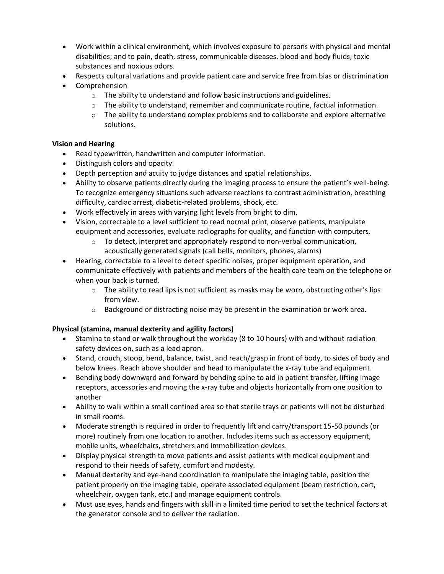- Work within a clinical environment, which involves exposure to persons with physical and mental disabilities; and to pain, death, stress, communicable diseases, blood and body fluids, toxic substances and noxious odors.
- Respects cultural variations and provide patient care and service free from bias or discrimination
- Comprehension
	- o The ability to understand and follow basic instructions and guidelines.
	- $\circ$  The ability to understand, remember and communicate routine, factual information.
	- $\circ$  The ability to understand complex problems and to collaborate and explore alternative solutions.

## **Vision and Hearing**

- Read typewritten, handwritten and computer information.
- Distinguish colors and opacity.
- Depth perception and acuity to judge distances and spatial relationships.
- Ability to observe patients directly during the imaging process to ensure the patient's well-being. To recognize emergency situations such adverse reactions to contrast administration, breathing difficulty, cardiac arrest, diabetic-related problems, shock, etc.
- Work effectively in areas with varying light levels from bright to dim.
- Vision, correctable to a level sufficient to read normal print, observe patients, manipulate equipment and accessories, evaluate radiographs for quality, and function with computers.
	- $\circ$  To detect, interpret and appropriately respond to non-verbal communication, acoustically generated signals (call bells, monitors, phones, alarms)
- Hearing, correctable to a level to detect specific noises, proper equipment operation, and communicate effectively with patients and members of the health care team on the telephone or when your back is turned.
	- $\circ$  The ability to read lips is not sufficient as masks may be worn, obstructing other's lips from view.
	- $\circ$  Background or distracting noise may be present in the examination or work area.

### **Physical (stamina, manual dexterity and agility factors)**

- Stamina to stand or walk throughout the workday (8 to 10 hours) with and without radiation safety devices on, such as a lead apron.
- Stand, crouch, stoop, bend, balance, twist, and reach/grasp in front of body, to sides of body and below knees. Reach above shoulder and head to manipulate the x-ray tube and equipment.
- Bending body downward and forward by bending spine to aid in patient transfer, lifting image receptors, accessories and moving the x-ray tube and objects horizontally from one position to another
- Ability to walk within a small confined area so that sterile trays or patients will not be disturbed in small rooms.
- Moderate strength is required in order to frequently lift and carry/transport 15-50 pounds (or more) routinely from one location to another. Includes items such as accessory equipment, mobile units, wheelchairs, stretchers and immobilization devices.
- Display physical strength to move patients and assist patients with medical equipment and respond to their needs of safety, comfort and modesty.
- Manual dexterity and eye-hand coordination to manipulate the imaging table, position the patient properly on the imaging table, operate associated equipment (beam restriction, cart, wheelchair, oxygen tank, etc.) and manage equipment controls.
- Must use eyes, hands and fingers with skill in a limited time period to set the technical factors at the generator console and to deliver the radiation.